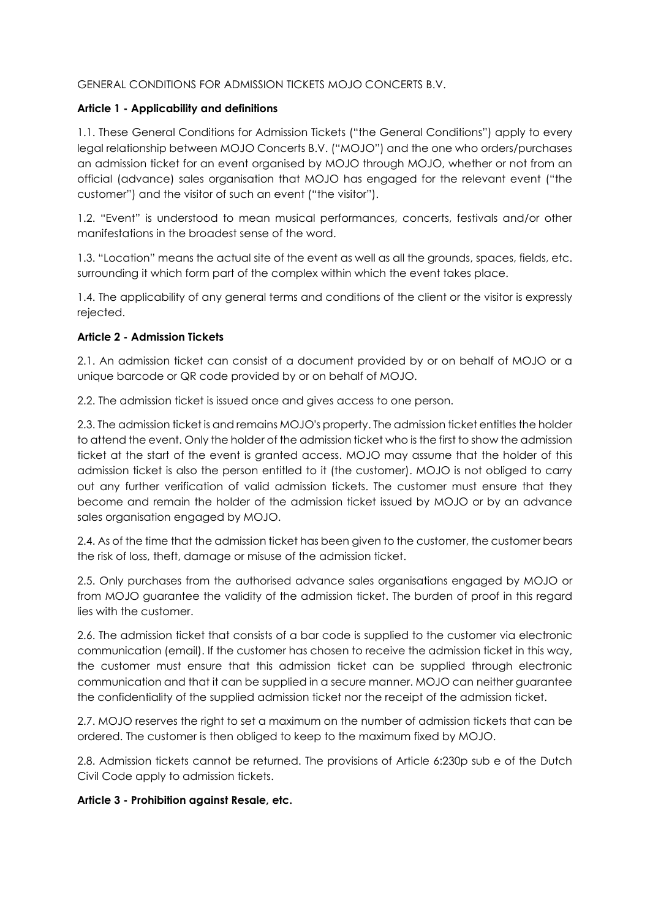### GENERAL CONDITIONS FOR ADMISSION TICKETS MOJO CONCERTS B.V.

### Article 1 - Applicability and definitions

1.1. These General Conditions for Admission Tickets ("the General Conditions") apply to every legal relationship between MOJO Concerts B.V. ("MOJO") and the one who orders/purchases an admission ticket for an event organised by MOJO through MOJO, whether or not from an official (advance) sales organisation that MOJO has engaged for the relevant event ("the customer") and the visitor of such an event ("the visitor").

1.2. "Event" is understood to mean musical performances, concerts, festivals and/or other manifestations in the broadest sense of the word.

1.3. "Location" means the actual site of the event as well as all the grounds, spaces, fields, etc. surrounding it which form part of the complex within which the event takes place.

1.4. The applicability of any general terms and conditions of the client or the visitor is expressly rejected.

### Article 2 - Admission Tickets

2.1. An admission ticket can consist of a document provided by or on behalf of MOJO or a unique barcode or QR code provided by or on behalf of MOJO.

2.2. The admission ticket is issued once and gives access to one person.

2.3. The admission ticket is and remains MOJO's property. The admission ticket entitles the holder to attend the event. Only the holder of the admission ticket who is the first to show the admission ticket at the start of the event is granted access. MOJO may assume that the holder of this admission ticket is also the person entitled to it (the customer). MOJO is not obliged to carry out any further verification of valid admission tickets. The customer must ensure that they become and remain the holder of the admission ticket issued by MOJO or by an advance sales organisation engaged by MOJO.

2.4. As of the time that the admission ticket has been given to the customer, the customer bears the risk of loss, theft, damage or misuse of the admission ticket.

2.5. Only purchases from the authorised advance sales organisations engaged by MOJO or from MOJO guarantee the validity of the admission ticket. The burden of proof in this regard lies with the customer.

2.6. The admission ticket that consists of a bar code is supplied to the customer via electronic communication (email). If the customer has chosen to receive the admission ticket in this way, the customer must ensure that this admission ticket can be supplied through electronic communication and that it can be supplied in a secure manner. MOJO can neither guarantee the confidentiality of the supplied admission ticket nor the receipt of the admission ticket.

2.7. MOJO reserves the right to set a maximum on the number of admission tickets that can be ordered. The customer is then obliged to keep to the maximum fixed by MOJO.

2.8. Admission tickets cannot be returned. The provisions of Article 6:230p sub e of the Dutch Civil Code apply to admission tickets.

Article 3 - Prohibition against Resale, etc.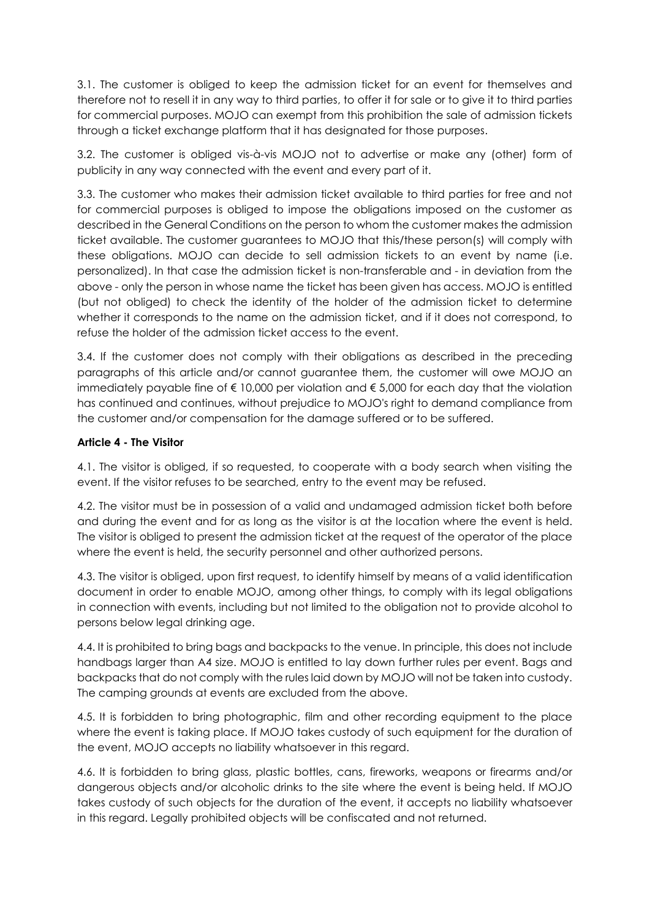3.1. The customer is obliged to keep the admission ticket for an event for themselves and therefore not to resell it in any way to third parties, to offer it for sale or to give it to third parties for commercial purposes. MOJO can exempt from this prohibition the sale of admission tickets through a ticket exchange platform that it has designated for those purposes.

3.2. The customer is obliged vis-à-vis MOJO not to advertise or make any (other) form of publicity in any way connected with the event and every part of it.

3.3. The customer who makes their admission ticket available to third parties for free and not for commercial purposes is obliged to impose the obligations imposed on the customer as described in the General Conditions on the person to whom the customer makes the admission ticket available. The customer guarantees to MOJO that this/these person(s) will comply with these obligations. MOJO can decide to sell admission tickets to an event by name (i.e. personalized). In that case the admission ticket is non-transferable and - in deviation from the above - only the person in whose name the ticket has been given has access. MOJO is entitled (but not obliged) to check the identity of the holder of the admission ticket to determine whether it corresponds to the name on the admission ticket, and if it does not correspond, to refuse the holder of the admission ticket access to the event.

3.4. If the customer does not comply with their obligations as described in the preceding paragraphs of this article and/or cannot guarantee them, the customer will owe MOJO an immediately payable fine of  $\epsilon$  10,000 per violation and  $\epsilon$  5,000 for each day that the violation has continued and continues, without prejudice to MOJO's right to demand compliance from the customer and/or compensation for the damage suffered or to be suffered.

# Article 4 - The Visitor

4.1. The visitor is obliged, if so requested, to cooperate with a body search when visiting the event. If the visitor refuses to be searched, entry to the event may be refused.

4.2. The visitor must be in possession of a valid and undamaged admission ticket both before and during the event and for as long as the visitor is at the location where the event is held. The visitor is obliged to present the admission ticket at the request of the operator of the place where the event is held, the security personnel and other authorized persons.

4.3. The visitor is obliged, upon first request, to identify himself by means of a valid identification document in order to enable MOJO, among other things, to comply with its legal obligations in connection with events, including but not limited to the obligation not to provide alcohol to persons below legal drinking age.

4.4. It is prohibited to bring bags and backpacks to the venue. In principle, this does not include handbags larger than A4 size. MOJO is entitled to lay down further rules per event. Bags and backpacks that do not comply with the rules laid down by MOJO will not be taken into custody. The camping grounds at events are excluded from the above.

4.5. It is forbidden to bring photographic, film and other recording equipment to the place where the event is taking place. If MOJO takes custody of such equipment for the duration of the event, MOJO accepts no liability whatsoever in this regard.

4.6. It is forbidden to bring glass, plastic bottles, cans, fireworks, weapons or firearms and/or dangerous objects and/or alcoholic drinks to the site where the event is being held. If MOJO takes custody of such objects for the duration of the event, it accepts no liability whatsoever in this regard. Legally prohibited objects will be confiscated and not returned.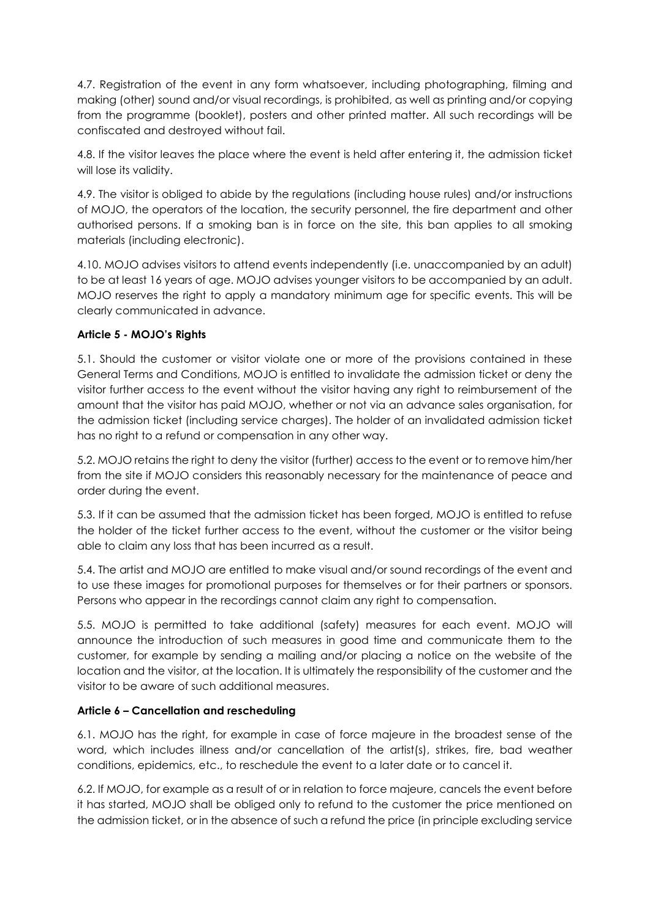4.7. Registration of the event in any form whatsoever, including photographing, filming and making (other) sound and/or visual recordings, is prohibited, as well as printing and/or copying from the programme (booklet), posters and other printed matter. All such recordings will be confiscated and destroyed without fail.

4.8. If the visitor leaves the place where the event is held after entering it, the admission ticket will lose its validity.

4.9. The visitor is obliged to abide by the regulations (including house rules) and/or instructions of MOJO, the operators of the location, the security personnel, the fire department and other authorised persons. If a smoking ban is in force on the site, this ban applies to all smoking materials (including electronic).

4.10. MOJO advises visitors to attend events independently (i.e. unaccompanied by an adult) to be at least 16 years of age. MOJO advises younger visitors to be accompanied by an adult. MOJO reserves the right to apply a mandatory minimum age for specific events. This will be clearly communicated in advance.

# Article 5 - MOJO's Rights

5.1. Should the customer or visitor violate one or more of the provisions contained in these General Terms and Conditions, MOJO is entitled to invalidate the admission ticket or deny the visitor further access to the event without the visitor having any right to reimbursement of the amount that the visitor has paid MOJO, whether or not via an advance sales organisation, for the admission ticket (including service charges). The holder of an invalidated admission ticket has no right to a refund or compensation in any other way.

5.2. MOJO retains the right to deny the visitor (further) access to the event or to remove him/her from the site if MOJO considers this reasonably necessary for the maintenance of peace and order during the event.

5.3. If it can be assumed that the admission ticket has been forged, MOJO is entitled to refuse the holder of the ticket further access to the event, without the customer or the visitor being able to claim any loss that has been incurred as a result.

5.4. The artist and MOJO are entitled to make visual and/or sound recordings of the event and to use these images for promotional purposes for themselves or for their partners or sponsors. Persons who appear in the recordings cannot claim any right to compensation.

5.5. MOJO is permitted to take additional (safety) measures for each event. MOJO will announce the introduction of such measures in good time and communicate them to the customer, for example by sending a mailing and/or placing a notice on the website of the location and the visitor, at the location. It is ultimately the responsibility of the customer and the visitor to be aware of such additional measures.

### Article 6 – Cancellation and rescheduling

6.1. MOJO has the right, for example in case of force majeure in the broadest sense of the word, which includes illness and/or cancellation of the artist(s), strikes, fire, bad weather conditions, epidemics, etc., to reschedule the event to a later date or to cancel it.

6.2. If MOJO, for example as a result of or in relation to force majeure, cancels the event before it has started, MOJO shall be obliged only to refund to the customer the price mentioned on the admission ticket, or in the absence of such a refund the price (in principle excluding service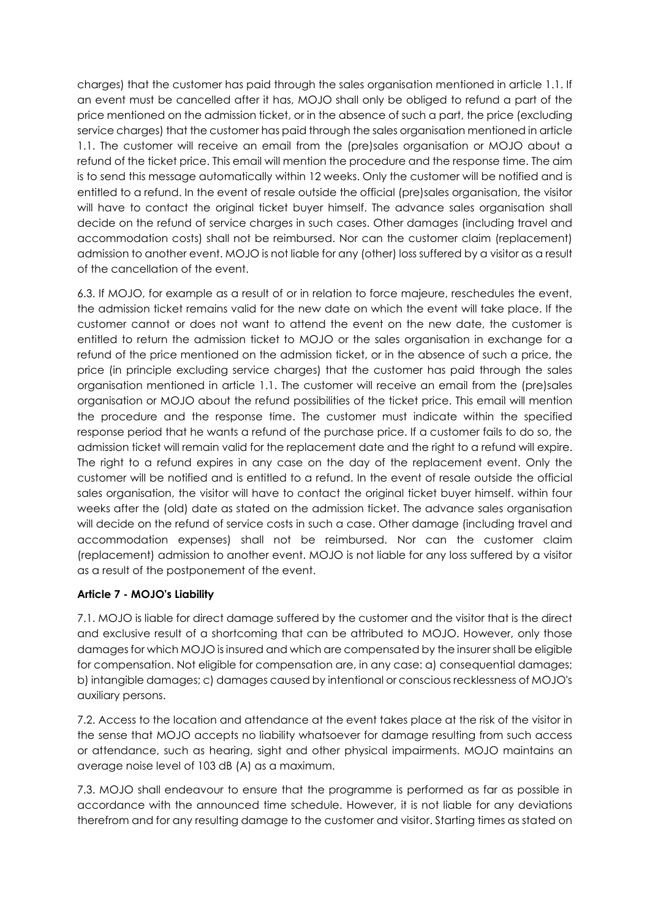charges) that the customer has paid through the sales organisation mentioned in article 1.1. If an event must be cancelled after it has, MOJO shall only be obliged to refund a part of the price mentioned on the admission ticket, or in the absence of such a part, the price (excluding service charges) that the customer has paid through the sales organisation mentioned in article 1.1. The customer will receive an email from the (pre)sales organisation or MOJO about a refund of the ticket price. This email will mention the procedure and the response time. The aim is to send this message automatically within 12 weeks. Only the customer will be notified and is entitled to a refund. In the event of resale outside the official (pre)sales organisation, the visitor will have to contact the original ticket buyer himself. The advance sales organisation shall decide on the refund of service charges in such cases. Other damages (including travel and accommodation costs) shall not be reimbursed. Nor can the customer claim (replacement) admission to another event. MOJO is not liable for any (other) loss suffered by a visitor as a result of the cancellation of the event.

6.3. If MOJO, for example as a result of or in relation to force majeure, reschedules the event, the admission ticket remains valid for the new date on which the event will take place. If the customer cannot or does not want to attend the event on the new date, the customer is entitled to return the admission ticket to MOJO or the sales organisation in exchange for a refund of the price mentioned on the admission ticket, or in the absence of such a price, the price (in principle excluding service charges) that the customer has paid through the sales organisation mentioned in article 1.1. The customer will receive an email from the (pre)sales organisation or MOJO about the refund possibilities of the ticket price. This email will mention the procedure and the response time. The customer must indicate within the specified response period that he wants a refund of the purchase price. If a customer fails to do so, the admission ticket will remain valid for the replacement date and the right to a refund will expire. The right to a refund expires in any case on the day of the replacement event. Only the customer will be notified and is entitled to a refund. In the event of resale outside the official sales organisation, the visitor will have to contact the original ticket buyer himself. within four weeks after the (old) date as stated on the admission ticket. The advance sales organisation will decide on the refund of service costs in such a case. Other damage (including travel and accommodation expenses) shall not be reimbursed. Nor can the customer claim (replacement) admission to another event. MOJO is not liable for any loss suffered by a visitor as a result of the postponement of the event.

# Article 7 - MOJO's Liability

7.1. MOJO is liable for direct damage suffered by the customer and the visitor that is the direct and exclusive result of a shortcoming that can be attributed to MOJO. However, only those damages for which MOJO is insured and which are compensated by the insurer shall be eligible for compensation. Not eligible for compensation are, in any case: a) consequential damages; b) intangible damages; c) damages caused by intentional or conscious recklessness of MOJO's auxiliary persons.

7.2. Access to the location and attendance at the event takes place at the risk of the visitor in the sense that MOJO accepts no liability whatsoever for damage resulting from such access or attendance, such as hearing, sight and other physical impairments. MOJO maintains an average noise level of 103 dB (A) as a maximum.

7.3. MOJO shall endeavour to ensure that the programme is performed as far as possible in accordance with the announced time schedule. However, it is not liable for any deviations therefrom and for any resulting damage to the customer and visitor. Starting times as stated on